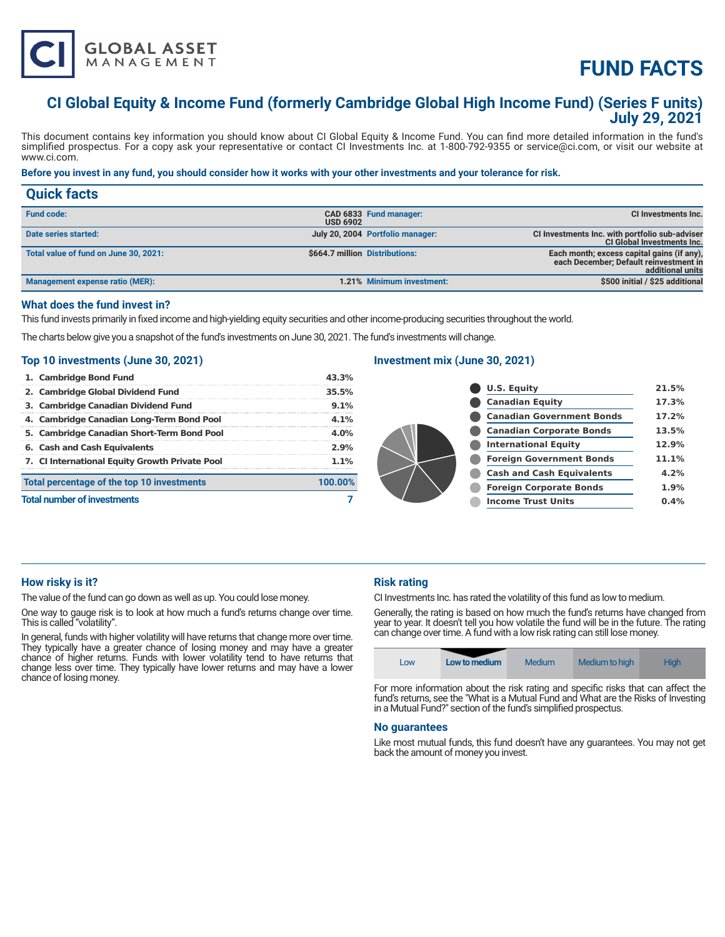

# **FUND FACTS**

# **CI Global Equity & Income Fund (formerly Cambridge Global High Income Fund) (Series F units) July 29, 2021**

This document contains key information you should know about CI Global Equity & Income Fund. You can find more detailed information in the fund's simplified prospectus. For a copy ask your representative or contact CI Investments Inc. at 1-800-792-9355 or service@ci.com, or visit our website at www.ci.com.

#### **Before you invest in any fund, you should consider how it works with your other investments and your tolerance for risk.**

| <b>Quick facts</b>                     |                 |                                  |                                                                                                          |
|----------------------------------------|-----------------|----------------------------------|----------------------------------------------------------------------------------------------------------|
| <b>Fund code:</b>                      | <b>USD 6902</b> | CAD 6833 Fund manager:           | CI Investments Inc.                                                                                      |
| Date series started:                   |                 | July 20, 2004 Portfolio manager: | CI Investments Inc. with portfolio sub-adviser<br><b>CI Global Investments Inc.</b>                      |
| Total value of fund on June 30, 2021:  |                 | \$664.7 million Distributions:   | Each month; excess capital gains (if any),<br>each December; Default reinvestment in<br>additional units |
| <b>Management expense ratio (MER):</b> |                 | 1.21% Minimum investment:        | \$500 initial / \$25 additional                                                                          |

#### **What does the fund invest in?**

This fund invests primarily in fixed income and high-yielding equity securities and other income-producing securities throughout the world.

The charts below give you a snapshot of the fund's investments on June 30, 2021. The fund's investments will change.

#### **Top 10 investments (June 30, 2021)**

| 1. Cambridge Bond Fund                         | 43.3%   |  |
|------------------------------------------------|---------|--|
| 2. Cambridge Global Dividend Fund              | 35.5%   |  |
| 3. Cambridge Canadian Dividend Fund            | 9.1%    |  |
| 4. Cambridge Canadian Long-Term Bond Pool      | 4.1%    |  |
| 5. Cambridge Canadian Short-Term Bond Pool     | 4.0%    |  |
| 6. Cash and Cash Equivalents                   | 2.9%    |  |
| 7. Cl International Equity Growth Private Pool | 1.1%    |  |
| Total percentage of the top 10 investments     | 100.00% |  |
| <b>Total number of investments</b>             |         |  |

#### **Investment mix (June 30, 2021)**

| <b>U.S. Equity</b>               | 21.5% |
|----------------------------------|-------|
| <b>Canadian Equity</b>           | 17.3% |
| <b>Canadian Government Bonds</b> | 17.2% |
| <b>Canadian Corporate Bonds</b>  | 13.5% |
| <b>International Equity</b>      | 12.9% |
| <b>Foreign Government Bonds</b>  | 11.1% |
| <b>Cash and Cash Equivalents</b> | 4.2%  |
| <b>Foreign Corporate Bonds</b>   | 1.9%  |
| <b>Income Trust Units</b>        | 0.4%  |
|                                  |       |

#### **How risky is it?**

The value of the fund can go down as well as up. You could lose money.

One way to gauge risk is to look at how much a fund's returns change over time. This is called "volatility".

In general, funds with higher volatility will have returns that change more over time. They typically have a greater chance of losing money and may have a greater chance of higher returns. Funds with lower volatility tend to have returns that change less over time. They typically have lower returns and may have a lower chance of losing money.

## **Risk rating**

CI Investments Inc. has rated the volatility of this fund as low to medium.

Generally, the rating is based on how much the fund's returns have changed from year to year. It doesn't tell you how volatile the fund will be in the future. The rating can change over time. A fund with a low risk rating can still lose money.



For more information about the risk rating and specific risks that can affect the fund's returns, see the "What is a Mutual Fund and What are the Risks of Investing in a Mutual Fund?" section of the fund's simplified prospectus.

#### **No guarantees**

Like most mutual funds, this fund doesn't have any guarantees. You may not get back the amount of money you invest.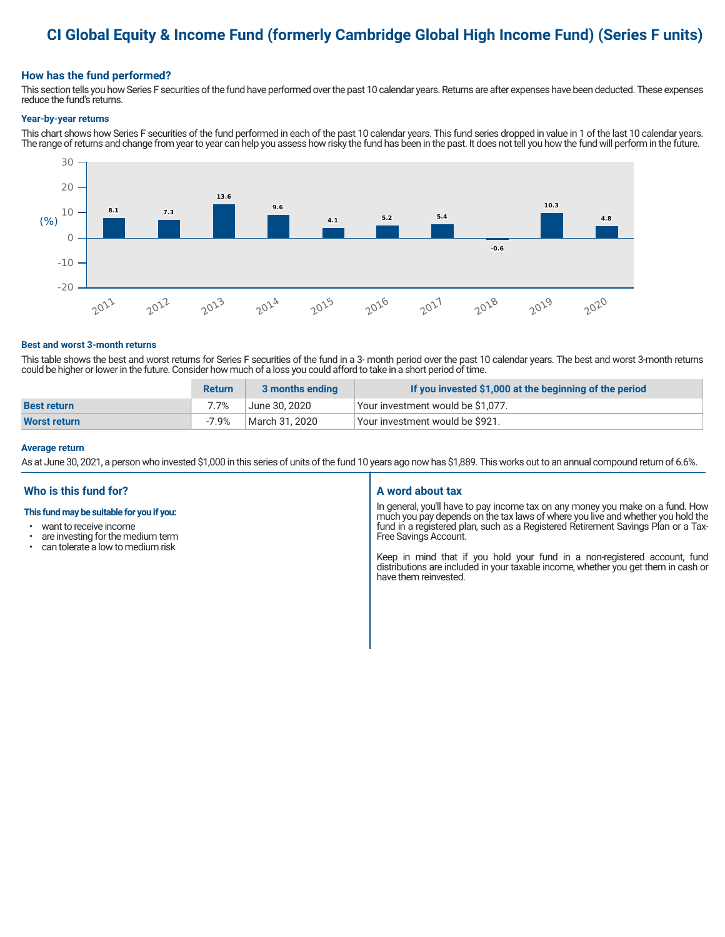# **CI Global Equity & Income Fund (formerly Cambridge Global High Income Fund) (Series F units)**

### **How has the fund performed?**

This section tells you how Series F securities of the fund have performed over the past 10 calendar years. Returns are after expenses have been deducted. These expenses reduce the fund's returns.

#### **Year-by-year returns**

This chart shows how Series F securities of the fund performed in each of the past 10 calendar years. This fund series dropped in value in 1 of the last 10 calendar years. The range of returns and change from year to year can help you assess how risky the fund has been in the past. It does not tell you how the fund will perform in the future.



#### **Best and worst 3-month returns**

This table shows the best and worst returns for Series F securities of the fund in a 3- month period over the past 10 calendar years. The best and worst 3-month returns could be higher or lower in the future. Consider how much of a loss you could afford to take in a short period of time.

|                     | <b>Return</b> | 3 months ending | If you invested \$1,000 at the beginning of the period |
|---------------------|---------------|-----------------|--------------------------------------------------------|
| <b>Best return</b>  | 7.7%          | June 30. 2020   | Vour investment would be \$1,077.                      |
| <b>Worst return</b> | -7.9%         | March 31, 2020  | Vour investment would be \$921.                        |

#### **Average return**

As at June 30, 2021, a person who invested \$1,000 in this series of units of the fund 10 years ago now has \$1,889. This works out to an annual compound return of 6.6%.

### **Who is this fund for?**

#### **This fund may be suitable for you if you:**

- want to receive income
- are investing for the medium term<br>• can telerate a low to medium risk
- can tolerate a low to medium risk

#### **A word about tax**

In general, you'll have to pay income tax on any money you make on a fund. How much you pay depends on the tax laws of where you live and whether you hold the fund in a registered plan, such as a Registered Retirement Savings Plan or a Tax-Free Savings Account.

Keep in mind that if you hold your fund in a non-registered account, fund distributions are included in your taxable income, whether you get them in cash or have them reinvested.